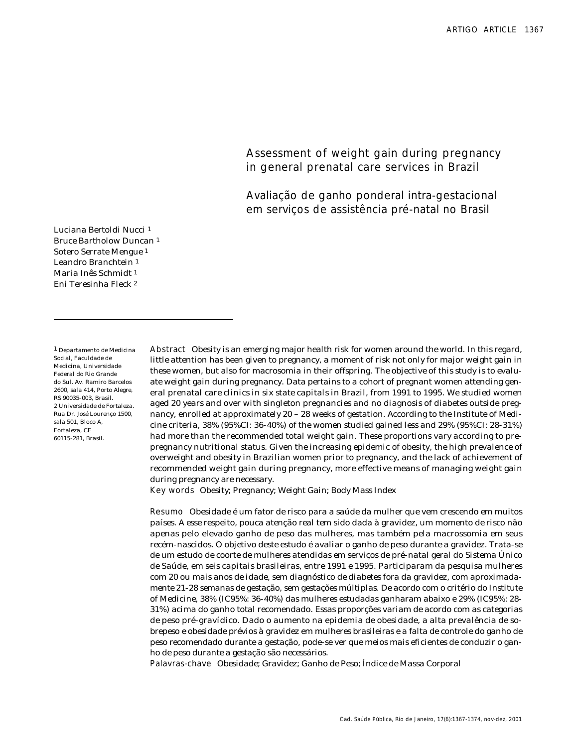# Assessment of weight gain during pregnancy in general prenatal care services in Brazil

Avaliação de ganho ponderal intra-gestacional em serviços de assistência pré-natal no Brasil

*Luciana Bertoldi Nucci 1 Bruce Bartholow Duncan 1 Sotero Serrate Mengue 1 Leandro Branchtein 1 Maria Inês Schmidt 1 Eni Teresinha Fleck 2*

*1 Departamento de Medicina Social, Faculdade de Medicina, Universidade Federal do Rio Grande do Sul. Av. Ramiro Barcelos 2600, sala 414, Porto Alegre, RS 90035-003, Brasil. 2 Universidade de Fortaleza. Rua Dr. José Lourenço 1500, sala 501, Bloco A, Fortaleza, CE 60115-281, Brasil.*

Abstract *Obesity is an emerging major health risk for women around the world. In this regard, little attention has been given to pregnancy, a moment of risk not only for major weight gain in these women, but also for macrosomia in their offspring. The objective of this study is to evaluate weight gain during pregnancy. Data pertains to a cohort of pregnant women attending general prenatal care clinics in six state capitals in Brazil, from 1991 to 1995. We studied women aged 20 years and over with singleton pregnancies and no diagnosis of diabetes outside pregnancy, enrolled at approximately 20 – 28 weeks of gestation. According to the Institute of Medicine criteria, 38% (95%CI: 36-40%) of the women studied gained less and 29% (95%CI: 28-31%) had more than the recommended total weight gain. These proportions vary according to prepregnancy nutritional status. Given the increasing epidemic of obesity, the high prevalence of overweight and obesity in Brazilian women prior to pregnancy, and the lack of achievement of recommended weight gain during pregnancy, more effective means of managing weight gain during pregnancy are necessary.*

Key words *Obesity; Pregnancy; Weight Gain; Body Mass Index*

Resumo *Obesidade é um fator de risco para a saúde da mulher que vem crescendo em muitos países. A esse respeito, pouca atenção real tem sido dada à gravidez, um momento de risco não apenas pelo elevado ganho de peso das mulheres, mas também pela macrossomia em seus recém-nascidos. O objetivo deste estudo é avaliar o ganho de peso durante a gravidez. Trata-se de um estudo de coorte de mulheres atendidas em serviços de pré-natal geral do Sistema Único de Saúde, em seis capitais brasileiras, entre 1991 e 1995. Participaram da pesquisa mulheres com 20 ou mais anos de idade, sem diagnóstico de diabetes fora da gravidez, com aproximadamente 21-28 semanas de gestação, sem gestações múltiplas. De acordo com o critério do Institute of Medicine, 38% (IC95%: 36-40%) das mulheres estudadas ganharam abaixo e 29% (IC95%: 28- 31%) acima do ganho total recomendado. Essas proporções variam de acordo com as categorias de peso pré-gravídico. Dado o aumento na epidemia de obesidade, a alta prevalência de sobrepeso e obesidade prévios à gravidez em mulheres brasileiras e a falta de controle do ganho de peso recomendado durante a gestação, pode-se ver que meios mais eficientes de conduzir o ganho de peso durante a gestação são necessários.*

Palavras-chave *Obesidade; Gravidez; Ganho de Peso; Índice de Massa Corporal*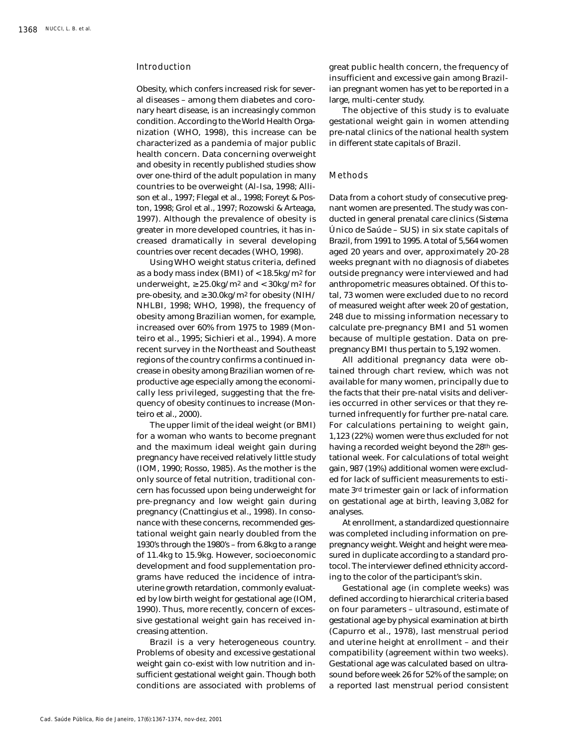# Introduction

Obesity, which confers increased risk for several diseases – among them diabetes and coronary heart disease, is an increasingly common condition. According to the World Health Organization (WHO, 1998), this increase can be characterized as a pandemia of major public health concern. Data concerning overweight and obesity in recently published studies show over one-third of the adult population in many countries to be overweight (Al-Isa, 1998; Allison et al., 1997; Flegal et al., 1998; Foreyt & Poston, 1998; Grol et al., 1997; Rozowski & Arteaga, 1997). Although the prevalence of obesity is greater in more developed countries, it has increased dramatically in several developing countries over recent decades (WHO, 1998).

Using WHO weight status criteria, defined as a body mass index (BMI) of < 18.5kg/m2 for underweight,  $\geq 25.0$ kg/m<sup>2</sup> and < 30kg/m<sup>2</sup> for pre-obesity, and  $\geq 30.0$ kg/m<sup>2</sup> for obesity (NIH/ NHLBI, 1998; WHO, 1998), the frequency of obesity among Brazilian women, for example, increased over 60% from 1975 to 1989 (Monteiro et al., 1995; Sichieri et al., 1994). A more recent survey in the Northeast and Southeast regions of the country confirms a continued increase in obesity among Brazilian women of reproductive age especially among the economically less privileged, suggesting that the frequency of obesity continues to increase (Monteiro et al., 2000).

The upper limit of the ideal weight (or BMI) for a woman who wants to become pregnant and the maximum ideal weight gain during pregnancy have received relatively little study (IOM, 1990; Rosso, 1985). As the mother is the only source of fetal nutrition, traditional concern has focussed upon being underweight for pre-pregnancy and low weight gain during pregnancy (Cnattingius et al., 1998). In consonance with these concerns, recommended gestational weight gain nearly doubled from the 1930's through the 1980's – from 6.8kg to a range of 11.4kg to 15.9kg. However, socioeconomic development and food supplementation programs have reduced the incidence of intrauterine growth retardation, commonly evaluated by low birth weight for gestational age (IOM, 1990). Thus, more recently, concern of excessive gestational weight gain has received increasing attention.

Brazil is a very heterogeneous country. Problems of obesity and excessive gestational weight gain co-exist with low nutrition and insufficient gestational weight gain. Though both conditions are associated with problems of great public health concern, the frequency of insufficient and excessive gain among Brazilian pregnant women has yet to be reported in a large, multi-center study.

The objective of this study is to evaluate gestational weight gain in women attending pre-natal clinics of the national health system in different state capitals of Brazil.

# Methods

Data from a cohort study of consecutive pregnant women are presented. The study was conducted in general prenatal care clinics (*Sistema Único de Saúde* – SUS) in six state capitals of Brazil, from 1991 to 1995. A total of 5,564 women aged 20 years and over, approximately 20-28 weeks pregnant with no diagnosis of diabetes outside pregnancy were interviewed and had anthropometric measures obtained. Of this total, 73 women were excluded due to no record of measured weight after week 20 of gestation, 248 due to missing information necessary to calculate pre-pregnancy BMI and 51 women because of multiple gestation. Data on prepregnancy BMI thus pertain to 5,192 women.

All additional pregnancy data were obtained through chart review, which was not available for many women, principally due to the facts that their pre-natal visits and deliveries occurred in other services or that they returned infrequently for further pre-natal care. For calculations pertaining to weight gain, 1,123 (22%) women were thus excluded for not having a recorded weight beyond the 28th gestational week. For calculations of total weight gain, 987 (19%) additional women were excluded for lack of sufficient measurements to estimate 3rd trimester gain or lack of information on gestational age at birth, leaving 3,082 for analyses.

At enrollment, a standardized questionnaire was completed including information on prepregnancy weight. Weight and height were measured in duplicate according to a standard protocol. The interviewer defined ethnicity according to the color of the participant's skin.

Gestational age (in complete weeks) was defined according to hierarchical criteria based on four parameters – ultrasound, estimate of gestational age by physical examination at birth (Capurro et al., 1978), last menstrual period and uterine height at enrollment – and their compatibility (agreement within two weeks). Gestational age was calculated based on ultrasound before week 26 for 52% of the sample; on a reported last menstrual period consistent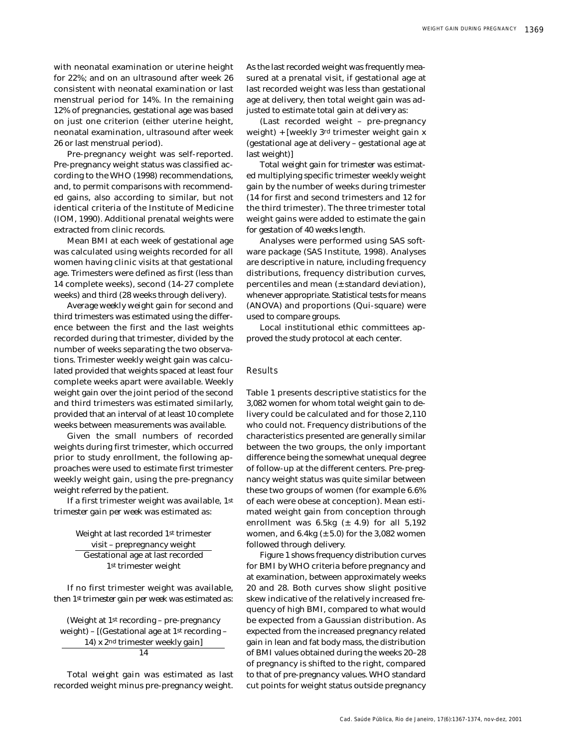with neonatal examination or uterine height for 22%; and on an ultrasound after week 26 consistent with neonatal examination or last menstrual period for 14%. In the remaining 12% of pregnancies, gestational age was based on just one criterion (either uterine height, neonatal examination, ultrasound after week 26 or last menstrual period).

Pre-pregnancy weight was self-reported. Pre-pregnancy weight status was classified according to the WHO (1998) recommendations, and, to permit comparisons with recommended gains, also according to similar, but not identical criteria of the Institute of Medicine (IOM, 1990). Additional prenatal weights were extracted from clinic records.

Mean BMI at each week of gestational age was calculated using weights recorded for all women having clinic visits at that gestational age. Trimesters were defined as first (less than 14 complete weeks), second (14-27 complete weeks) and third (28 weeks through delivery).

*Average weekly weight gain* for second and third trimesters was estimated using the difference between the first and the last weights recorded during that trimester, divided by the number of weeks separating the two observations. Trimester weekly weight gain was calculated provided that weights spaced at least four complete weeks apart were available. Weekly weight gain over the joint period of the second and third trimesters was estimated similarly, provided that an interval of at least 10 complete weeks between measurements was available.

Given the small numbers of recorded weights during first trimester, which occurred prior to study enrollment, the following approaches were used to estimate first trimester weekly weight gain, using the pre-pregnancy weight referred by the patient.

If a first trimester weight was available, *1st trimester gain per week* was estimated as:

> Weight at last recorded 1st trimester visit – prepregnancy weight Gestational age at last recorded 1st trimester weight

If no first trimester weight was available, then *1st trimester gain per week* was estimated as:

(Weight at 1st recording – pre-pregnancy weight) – [(Gestational age at 1st recording – 14) x 2nd trimester weekly gain] 14

*Total weight gain* was estimated as last recorded weight minus pre-pregnancy weight.

As the last recorded weight was frequently measured at a prenatal visit, if gestational age at last recorded weight was less than gestational age at delivery, then total weight gain was adjusted to estimate *total gain at delivery* as:

(Last recorded weight – pre-pregnancy weight) + [weekly 3rd trimester weight gain x (gestational age at delivery – gestational age at last weight)]

*Total weight gain for trimester* was estimated multiplying specific trimester weekly weight gain by the number of weeks during trimester (14 for first and second trimesters and 12 for the third trimester). The three trimester total weight gains were added to estimate the *gain for gestation of 40 weeks length*.

Analyses were performed using SAS software package (SAS Institute, 1998). Analyses are descriptive in nature, including frequency distributions, frequency distribution curves, percentiles and mean (± standard deviation), whenever appropriate. Statistical tests for means (ANOVA) and proportions (Qui-square) were used to compare groups.

Local institutional ethic committees approved the study protocol at each center.

### Results

Table 1 presents descriptive statistics for the 3,082 women for whom total weight gain to delivery could be calculated and for those 2,110 who could not. Frequency distributions of the characteristics presented are generally similar between the two groups, the only important difference being the somewhat unequal degree of follow-up at the different centers. Pre-pregnancy weight status was quite similar between these two groups of women (for example 6.6% of each were obese at conception). Mean estimated weight gain from conception through enrollment was  $6.5kg$  ( $\pm$  4.9) for all 5,192 women, and  $6.4kg (\pm 5.0)$  for the 3,082 women followed through delivery.

Figure 1 shows frequency distribution curves for BMI by WHO criteria before pregnancy and at examination, between approximately weeks 20 and 28. Both curves show slight positive skew indicative of the relatively increased frequency of high BMI, compared to what would be expected from a Gaussian distribution. As expected from the increased pregnancy related gain in lean and fat body mass, the distribution of BMI values obtained during the weeks 20–28 of pregnancy is shifted to the right, compared to that of pre-pregnancy values. WHO standard cut points for weight status outside pregnancy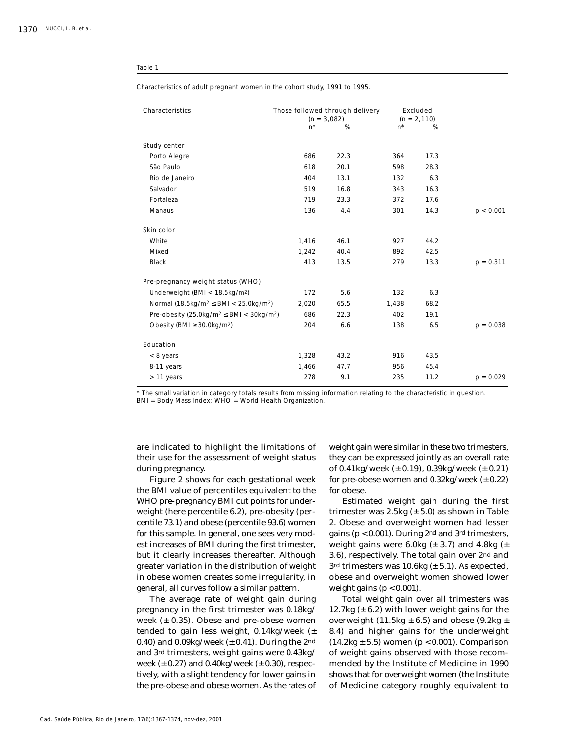#### Table 1

Characteristics of adult pregnant women in the cohort study, 1991 to 1995.

| Characteristics                                                         | Those followed through delivery<br>$(n = 3,082)$ |      |       | Excluded<br>$(n = 2, 110)$ |             |
|-------------------------------------------------------------------------|--------------------------------------------------|------|-------|----------------------------|-------------|
|                                                                         | $n^*$                                            | %    | $n^*$ | %                          |             |
| Study center                                                            |                                                  |      |       |                            |             |
| Porto Alegre                                                            | 686                                              | 22.3 | 364   | 17.3                       |             |
| São Paulo                                                               | 618                                              | 20.1 | 598   | 28.3                       |             |
| Rio de Janeiro                                                          | 404                                              | 13.1 | 132   | 6.3                        |             |
| Salvador                                                                | 519                                              | 16.8 | 343   | 16.3                       |             |
| Fortaleza                                                               | 719                                              | 23.3 | 372   | 17.6                       |             |
| Manaus                                                                  | 136                                              | 4.4  | 301   | 14.3                       | p < 0.001   |
| Skin color                                                              |                                                  |      |       |                            |             |
| White                                                                   | 1,416                                            | 46.1 | 927   | 44.2                       |             |
| Mixed                                                                   | 1,242                                            | 40.4 | 892   | 42.5                       |             |
| <b>Black</b>                                                            | 413                                              | 13.5 | 279   | 13.3                       | $p = 0.311$ |
| Pre-pregnancy weight status (WHO)                                       |                                                  |      |       |                            |             |
| Underweight (BMI < 18.5kg/m <sup>2</sup> )                              | 172                                              | 5.6  | 132   | 6.3                        |             |
| Normal (18.5kg/m <sup>2</sup> $\leq$ BMI $<$ 25.0kg/m <sup>2</sup> )    | 2,020                                            | 65.5 | 1,438 | 68.2                       |             |
| Pre-obesity (25.0kg/m <sup>2</sup> $\leq$ BMI $<$ 30kg/m <sup>2</sup> ) | 686                                              | 22.3 | 402   | 19.1                       |             |
| Obesity (BMI $\geq$ 30.0kg/m <sup>2</sup> )                             | 204                                              | 6.6  | 138   | 6.5                        | $p = 0.038$ |
| Education                                                               |                                                  |      |       |                            |             |
| $< 8$ years                                                             | 1,328                                            | 43.2 | 916   | 43.5                       |             |
| 8-11 years                                                              | 1,466                                            | 47.7 | 956   | 45.4                       |             |
| > 11 years                                                              | 278                                              | 9.1  | 235   | 11.2                       | $p = 0.029$ |

\* The small variation in category totals results from missing information relating to the characteristic in question.

BMI = Body Mass Index; WHO = World Health Organization.

are indicated to highlight the limitations of their use for the assessment of weight status during pregnancy.

Figure 2 shows for each gestational week the BMI value of percentiles equivalent to the WHO pre-pregnancy BMI cut points for underweight (here percentile 6.2), pre-obesity (percentile 73.1) and obese (percentile 93.6) women for this sample. In general, one sees very modest increases of BMI during the first trimester, but it clearly increases thereafter. Although greater variation in the distribution of weight in obese women creates some irregularity, in general, all curves follow a similar pattern.

The average rate of weight gain during pregnancy in the first trimester was 0.18kg/ week  $(± 0.35)$ . Obese and pre-obese women tended to gain less weight, 0.14kg/week (± 0.40) and  $0.09$ kg/week ( $\pm$  0.41). During the 2<sup>nd</sup> and 3rd trimesters, weight gains were 0.43kg/ week ( $\pm$  0.27) and 0.40kg/week ( $\pm$  0.30), respectively, with a slight tendency for lower gains in the pre-obese and obese women. As the rates of weight gain were similar in these two trimesters, they can be expressed jointly as an overall rate of  $0.41$ kg/week ( $\pm$  0.19),  $0.39$ kg/week ( $\pm$  0.21) for pre-obese women and  $0.32$ kg/week ( $\pm 0.22$ ) for obese.

Estimated weight gain during the first trimester was  $2.5kg \left( \pm 5.0 \right)$  as shown in Table 2. Obese and overweight women had lesser gains (p < 0.001). During 2nd and 3rd trimesters, weight gains were 6.0kg  $(\pm 3.7)$  and 4.8kg  $(\pm$ 3.6), respectively. The total gain over 2nd and 3<sup>rd</sup> trimesters was  $10.6$ kg ( $\pm$  5.1). As expected, obese and overweight women showed lower weight gains  $(p < 0.001)$ .

Total weight gain over all trimesters was 12.7kg  $(\pm 6.2)$  with lower weight gains for the overweight (11.5kg  $\pm$  6.5) and obese (9.2kg  $\pm$ 8.4) and higher gains for the underweight  $(14.2kg \pm 5.5)$  women  $(p < 0.001)$ . Comparison of weight gains observed with those recommended by the Institute of Medicine in 1990 shows that for overweight women (the Institute of Medicine category roughly equivalent to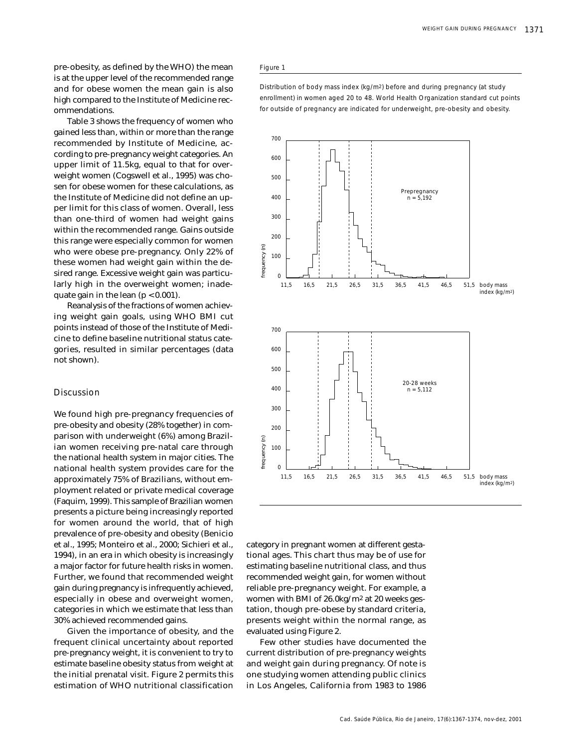pre-obesity, as defined by the WHO) the mean is at the upper level of the recommended range and for obese women the mean gain is also high compared to the Institute of Medicine recommendations.

Table 3 shows the frequency of women who gained less than, within or more than the range recommended by Institute of Medicine, according to pre-pregnancy weight categories. An upper limit of 11.5kg, equal to that for overweight women (Cogswell et al., 1995) was chosen for obese women for these calculations, as the Institute of Medicine did not define an upper limit for this class of women. Overall, less than one-third of women had weight gains within the recommended range. Gains outside this range were especially common for women who were obese pre-pregnancy. Only 22% of these women had weight gain within the desired range. Excessive weight gain was particularly high in the overweight women; inadequate gain in the lean  $(p < 0.001)$ .

Reanalysis of the fractions of women achieving weight gain goals, using WHO BMI cut points instead of those of the Institute of Medicine to define baseline nutritional status categories, resulted in similar percentages (data not shown).

# **Discussion**

We found high pre-pregnancy frequencies of pre-obesity and obesity (28% together) in comparison with underweight (6%) among Brazilian women receiving pre-natal care through the national health system in major cities. The national health system provides care for the approximately 75% of Brazilians, without employment related or private medical coverage (Faquim, 1999). This sample of Brazilian women presents a picture being increasingly reported for women around the world, that of high prevalence of pre-obesity and obesity (Benicio et al., 1995; Monteiro et al., 2000; Sichieri et al., 1994), in an era in which obesity is increasingly a major factor for future health risks in women. Further, we found that recommended weight gain during pregnancy is infrequently achieved, especially in obese and overweight women, categories in which we estimate that less than 30% achieved recommended gains.

Given the importance of obesity, and the frequent clinical uncertainty about reported pre-pregnancy weight, it is convenient to try to estimate baseline obesity status from weight at the initial prenatal visit. Figure 2 permits this estimation of WHO nutritional classification

## Figure 1

Distribution of body mass index (kg/m2) before and during pregnancy (at study enrollment) in women aged 20 to 48. World Health Organization standard cut points for outside of pregnancy are indicated for underweight, pre-obesity and obesity.



category in pregnant women at different gestational ages. This chart thus may be of use for estimating baseline nutritional class, and thus recommended weight gain, for women without reliable pre-pregnancy weight. For example, a women with BMI of 26.0kg/m2 at 20 weeks gestation, though pre-obese by standard criteria, presents weight within the normal range, as evaluated using Figure 2.

Few other studies have documented the current distribution of pre-pregnancy weights and weight gain during pregnancy. Of note is one studying women attending public clinics in Los Angeles, California from 1983 to 1986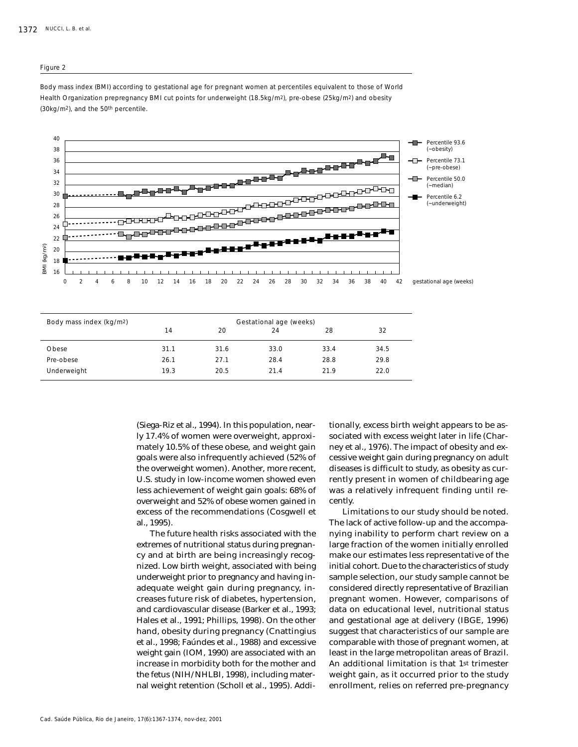#### Figure 2

Body mass index (BMI) according to gestational age for pregnant women at percentiles equivalent to those of World Health Organization prepregnancy BMI cut points for underweight (18.5kg/m<sup>2</sup>), pre-obese (25kg/m<sup>2</sup>) and obesity (30kg/m2), and the 50th percentile.



| Body mass index (kg/m <sup>2</sup> ) | Gestational age (weeks) |      |      |      |      |  |
|--------------------------------------|-------------------------|------|------|------|------|--|
|                                      | 14                      | 20   | 24   | 28   | 32   |  |
| Obese                                | 31.1                    | 31.6 | 33.0 | 33.4 | 34.5 |  |
| Pre-obese                            | 26.1                    | 27.1 | 28.4 | 28.8 | 29.8 |  |
| Underweight                          | 19.3                    | 20.5 | 21.4 | 21.9 | 22.0 |  |

(Siega-Riz et al., 1994). In this population, nearly 17.4% of women were overweight, approximately 10.5% of these obese, and weight gain goals were also infrequently achieved (52% of the overweight women). Another, more recent, U.S. study in low-income women showed even less achievement of weight gain goals: 68% of overweight and 52% of obese women gained in excess of the recommendations (Cosgwell et al., 1995).

The future health risks associated with the extremes of nutritional status during pregnancy and at birth are being increasingly recognized. Low birth weight, associated with being underweight prior to pregnancy and having inadequate weight gain during pregnancy, increases future risk of diabetes, hypertension, and cardiovascular disease (Barker et al., 1993; Hales et al., 1991; Phillips, 1998). On the other hand, obesity during pregnancy (Cnattingius et al., 1998; Faúndes et al., 1988) and excessive weight gain (IOM, 1990) are associated with an increase in morbidity both for the mother and the fetus (NIH/NHLBI, 1998), including maternal weight retention (Scholl et al., 1995). Additionally, excess birth weight appears to be associated with excess weight later in life (Charney et al., 1976). The impact of obesity and excessive weight gain during pregnancy on adult diseases is difficult to study, as obesity as currently present in women of childbearing age was a relatively infrequent finding until recently.

Limitations to our study should be noted. The lack of active follow-up and the accompanying inability to perform chart review on a large fraction of the women initially enrolled make our estimates less representative of the initial cohort. Due to the characteristics of study sample selection, our study sample cannot be considered directly representative of Brazilian pregnant women. However, comparisons of data on educational level, nutritional status and gestational age at delivery (IBGE, 1996) suggest that characteristics of our sample are comparable with those of pregnant women, at least in the large metropolitan areas of Brazil. An additional limitation is that 1st trimester weight gain, as it occurred prior to the study enrollment, relies on referred pre-pregnancy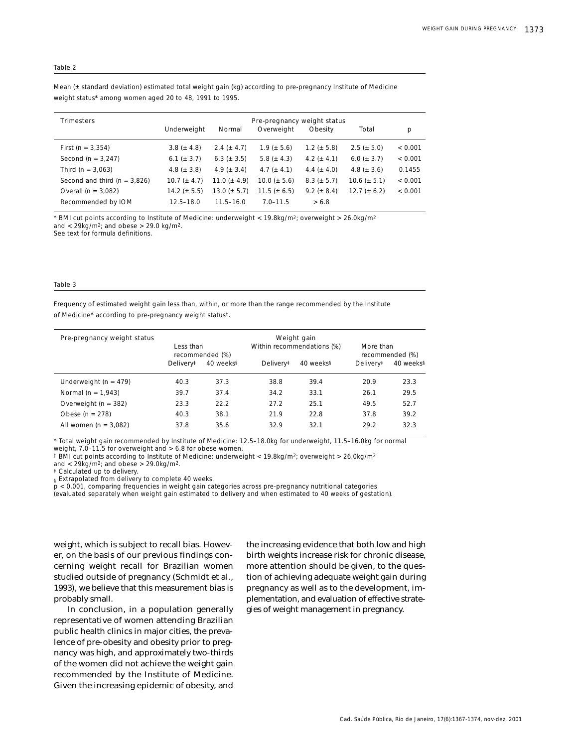### Table 2

| <b>Trimesters</b>                |                   |                   | Pre-pregnancy weight status |                  |                   |         |
|----------------------------------|-------------------|-------------------|-----------------------------|------------------|-------------------|---------|
|                                  | Underweight       | Normal            | Overweight                  | Obesity          | Total             | p       |
| First ( $n = 3,354$ )            | $3.8 (\pm 4.8)$   | 2.4 ( $\pm$ 4.7)  | $1.9 \ (\pm 5.6)$           | $1.2~(\pm 5.8)$  | $2.5 (\pm 5.0)$   | < 0.001 |
| Second ( $n = 3,247$ )           | 6.1 ( $\pm$ 3.7)  | 6.3 ( $\pm$ 3.5)  | 5.8 ( $\pm$ 4.3)            | 4.2 ( $\pm$ 4.1) | 6.0 ( $\pm$ 3.7)  | < 0.001 |
| Third ( $n = 3,063$ )            | 4.8 ( $\pm$ 3.8)  | 4.9 ( $\pm$ 3.4)  | 4.7 ( $\pm$ 4.1)            | 4.4 ( $\pm$ 4.0) | 4.8 ( $\pm$ 3.6)  | 0.1455  |
| Second and third ( $n = 3,826$ ) | $10.7 (\pm 4.7)$  | 11.0 ( $\pm$ 4.9) | $10.0 (\pm 5.6)$            | $8.3 (\pm 5.7)$  | $10.6 (\pm 5.1)$  | < 0.001 |
| Overall ( $n = 3.082$ )          | 14.2 ( $\pm$ 5.5) | 13.0 ( $\pm$ 5.7) | 11.5 ( $\pm$ 6.5)           | 9.2 ( $\pm$ 8.4) | 12.7 ( $\pm$ 6.2) | < 0.001 |
| Recommended by IOM               | $12.5 - 18.0$     | $11.5 - 16.0$     | $7.0 - 11.5$                | > 6.8            |                   |         |

Mean (± standard deviation) estimated total weight gain (kg) according to pre-pregnancy Institute of Medicine weight status\* among women aged 20 to 48, 1991 to 1995.

\* BMI cut points according to Institute of Medicine: underweight < 19.8kg/m2; overweight > 26.0kg/m2 and  $<$  29kg/m<sup>2</sup>; and obese  $>$  29.0 kg/m<sup>2</sup>. See text for formula definitions.

Table 3

Frequency of estimated weight gain less than, within, or more than the range recommended by the Institute of Medicine\* according to pre-pregnancy weight status†.

| Pre-pregnancy weight status | Weight gain                  |           |                       |                            |                              |           |  |
|-----------------------------|------------------------------|-----------|-----------------------|----------------------------|------------------------------|-----------|--|
|                             | Less than<br>recommended (%) |           |                       | Within recommendations (%) | More than<br>recommended (%) |           |  |
|                             | Delivery <sup>‡</sup>        | 40 weeks§ | Delivery <sup>#</sup> | 40 weeks§                  | Delivery <sup>‡</sup>        | 40 weeks§ |  |
| Underweight ( $n = 479$ )   | 40.3                         | 37.3      | 38.8                  | 39.4                       | 20.9                         | 23.3      |  |
| Normal ( $n = 1,943$ )      | 39.7                         | 37.4      | 34.2                  | 33.1                       | 26.1                         | 29.5      |  |
| Overweight ( $n = 382$ )    | 23.3                         | 22.2      | 27.2                  | 25.1                       | 49.5                         | 52.7      |  |
| Obese (n = $278$ )          | 40.3                         | 38.1      | 21.9                  | 22.8                       | 37.8                         | 39.2      |  |
| All women $(n = 3.082)$     | 37.8                         | 35.6      | 32.9                  | 32.1                       | 29.2                         | 32.3      |  |

\* Total weight gain recommended by Institute of Medicine: 12.5–18.0kg for underweight, 11.5–16.0kg for normal

weight, 7.0–11.5 for overweight and > 6.8 for obese women.<br>† BMI cut points according to Institute of Medicine: underweight < 19.8kg/m2; overweight > 26.0kg/m2 and  $<$  29kg/m<sup>2</sup>; and obese  $>$  29.0kg/m<sup>2</sup>.

‡ Calculated up to delivery.

 $_{\mathsf{s}}$  Extrapolated from delivery to complete 40 weeks.

 $\bar{\text{p}}$  < 0.001, comparing frequencies in weight gain categories across pre-pregnancy nutritional categories

(evaluated separately when weight gain estimated to delivery and when estimated to 40 weeks of gestation).

weight, which is subject to recall bias. However, on the basis of our previous findings concerning weight recall for Brazilian women studied outside of pregnancy (Schmidt et al., 1993), we believe that this measurement bias is probably small.

In conclusion, in a population generally representative of women attending Brazilian public health clinics in major cities, the prevalence of pre-obesity and obesity prior to pregnancy was high, and approximately two-thirds of the women did not achieve the weight gain recommended by the Institute of Medicine. Given the increasing epidemic of obesity, and

the increasing evidence that both low and high birth weights increase risk for chronic disease, more attention should be given, to the question of achieving adequate weight gain during pregnancy as well as to the development, implementation, and evaluation of effective strategies of weight management in pregnancy.